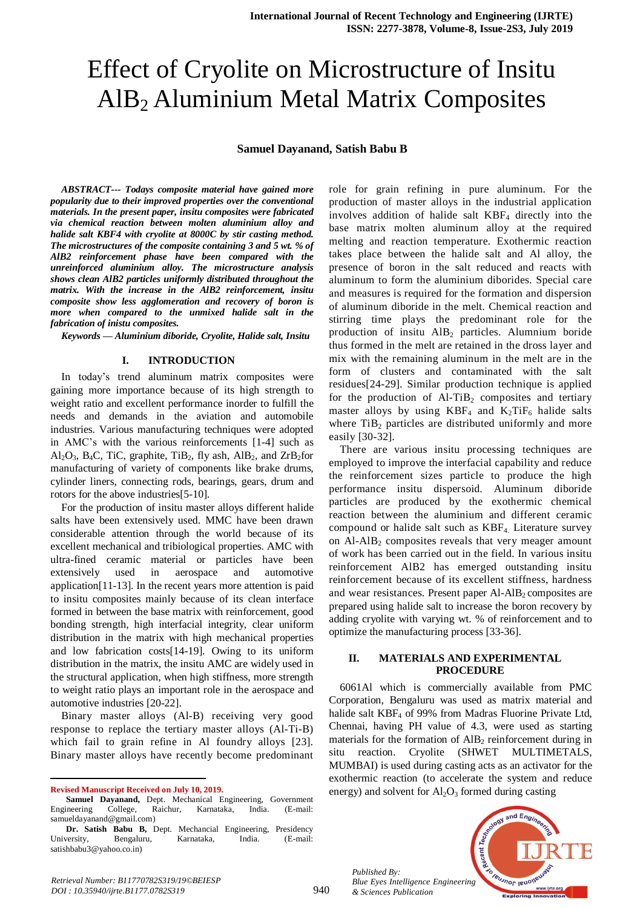# Effect of Cryolite on Microstructure of Insitu AlB<sup>2</sup> Aluminium Metal Matrix Composites

#### **Samuel Dayanand, Satish Babu B**

*ABSTRACT--- Todays composite material have gained more popularity due to their improved properties over the conventional materials. In the present paper, insitu composites were fabricated via chemical reaction between molten aluminium alloy and halide salt KBF4 with cryolite at 8000C by stir casting method. The microstructures of the composite containing 3 and 5 wt. % of AlB2 reinforcement phase have been compared with the unreinforced aluminium alloy. The microstructure analysis shows clean AlB2 particles uniformly distributed throughout the matrix. With the increase in the AlB2 reinforcement, insitu composite show less agglomeration and recovery of boron is more when compared to the unmixed halide salt in the fabrication of inistu composites.*

*Keywords — Aluminium diboride, Cryolite, Halide salt, Insitu*

#### **I. INTRODUCTION**

In today's trend aluminum matrix composites were gaining more importance because of its high strength to weight ratio and excellent performance inorder to fulfill the needs and demands in the aviation and automobile industries. Various manufacturing techniques were adopted in AMC's with the various reinforcements [1-4] such as  $Al_2O_3$ , B<sub>4</sub>C, TiC, graphite, TiB<sub>2</sub>, fly ash, AlB<sub>2</sub>, and ZrB<sub>2</sub>for manufacturing of variety of components like brake drums, cylinder liners, connecting rods, bearings, gears, drum and rotors for the above industries[5-10].

For the production of insitu master alloys different halide salts have been extensively used. MMC have been drawn considerable attention through the world because of its excellent mechanical and tribiological properties. AMC with ultra-fined ceramic material or particles have been extensively used in aerospace and automotive application[11-13]. In the recent years more attention is paid to insitu composites mainly because of its clean interface formed in between the base matrix with reinforcement, good bonding strength, high interfacial integrity, clear uniform distribution in the matrix with high mechanical properties and low fabrication costs[14-19]. Owing to its uniform distribution in the matrix, the insitu AMC are widely used in the structural application, when high stiffness, more strength to weight ratio plays an important role in the aerospace and automotive industries [20-22].

Binary master alloys (Al-B) receiving very good response to replace the tertiary master alloys (Al-Ti-B) which fail to grain refine in Al foundry alloys [23]. Binary master alloys have recently become predominant

 $\overline{a}$ 

role for grain refining in pure aluminum. For the production of master alloys in the industrial application involves addition of halide salt  $KBF<sub>4</sub>$  directly into the base matrix molten aluminum alloy at the required melting and reaction temperature. Exothermic reaction takes place between the halide salt and Al alloy, the presence of boron in the salt reduced and reacts with aluminum to form the aluminium diborides. Special care and measures is required for the formation and dispersion of aluminum diboride in the melt. Chemical reaction and stirring time plays the predominant role for the production of insitu  $\text{AlB}_2$  particles. Alumnium boride thus formed in the melt are retained in the dross layer and mix with the remaining aluminum in the melt are in the form of clusters and contaminated with the salt residues[24-29]. Similar production technique is applied for the production of  $AI-TiB<sub>2</sub>$  composites and tertiary master alloys by using  $KBF_4$  and  $K_2TiF_6$  halide salts where  $TiB<sub>2</sub>$  particles are distributed uniformly and more easily [30-32].

There are various insitu processing techniques are employed to improve the interfacial capability and reduce the reinforcement sizes particle to produce the high performance insitu dispersoid. Aluminum diboride particles are produced by the exothermic chemical reaction between the aluminium and different ceramic compound or halide salt such as KBF4. Literature survey on  $Al-AlB<sub>2</sub>$  composites reveals that very meager amount of work has been carried out in the field. In various insitu reinforcement AlB2 has emerged outstanding insitu reinforcement because of its excellent stiffness, hardness and wear resistances. Present paper  $AI-AlB<sub>2</sub>$  composites are prepared using halide salt to increase the boron recovery by adding cryolite with varying wt. % of reinforcement and to optimize the manufacturing process [33-36].

## **II. MATERIALS AND EXPERIMENTAL PROCEDURE**

6061Al which is commercially available from PMC Corporation, Bengaluru was used as matrix material and halide salt KBF<sub>4</sub> of 99% from Madras Fluorine Private Ltd, Chennai, having PH value of 4.3, were used as starting materials for the formation of  $\text{AlB}_2$  reinforcement during in situ reaction. Cryolite (SHWET MULTIMETALS, MUMBAI) is used during casting acts as an activator for the exothermic reaction (to accelerate the system and reduce energy) and solvent for  $Al_2O_3$  formed during casting



*Published By: Blue Eyes Intelligence Engineering & Sciences Publication*

**Revised Manuscript Received on July 10, 2019.**

**Samuel Dayanand,** Dept. Mechanical Engineering, Government Engineering College, Raichur, Karnataka, India. (E-mail: samueldayanand@gmail.com)

**Dr. Satish Babu B,** Dept. Mechancial Engineering, Presidency University, Bengaluru, Karnataka, India. (E-mail: satishbabu3@yahoo.co.in)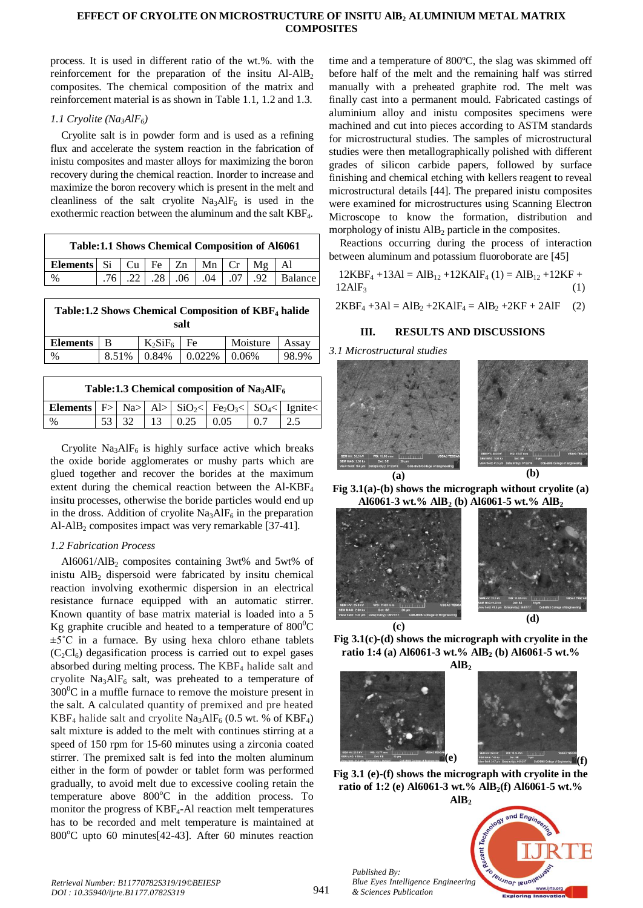## **EFFECT OF CRYOLITE ON MICROSTRUCTURE OF INSITU AlB<sup>2</sup> ALUMINIUM METAL MATRIX COMPOSITES**

process. It is used in different ratio of the wt.%. with the reinforcement for the preparation of the insitu  $AI-AlB<sub>2</sub>$ composites. The chemical composition of the matrix and reinforcement material is as shown in Table 1.1, 1.2 and 1.3.

# *1.1 Cryolite (Na3AlF6)*

Cryolite salt is in powder form and is used as a refining flux and accelerate the system reaction in the fabrication of inistu composites and master alloys for maximizing the boron recovery during the chemical reaction. Inorder to increase and maximize the boron recovery which is present in the melt and cleanliness of the salt cryolite  $Na<sub>3</sub>AIF<sub>6</sub>$  is used in the exothermic reaction between the aluminum and the salt KBF4.

| <b>Table:1.1 Shows Chemical Composition of A16061</b>          |  |  |  |  |  |  |  |                                         |
|----------------------------------------------------------------|--|--|--|--|--|--|--|-----------------------------------------|
| Elements   Si $ $ Cu $ $ Fe $ $ Zn $ $ Mn $ $ Cr $ $ Mg $ $ Al |  |  |  |  |  |  |  |                                         |
| $\%$                                                           |  |  |  |  |  |  |  | .76 .22 .28 .06 .04 .07 .07 .92 Balance |

| Table:1.2 Shows Chemical Composition of KBF <sub>4</sub> halide<br>salt |       |            |         |          |       |  |  |  |
|-------------------------------------------------------------------------|-------|------------|---------|----------|-------|--|--|--|
| <b>Elements</b>                                                         | в     | $K_2SiF_6$ | Fe      | Moisture | Assay |  |  |  |
| $\%$                                                                    | 8.51% | 0.84%      | 0.022\% | 0.06%    | 98.9% |  |  |  |

| Table:1.3 Chemical composition of $Na3AIF6$                                                                                                               |  |  |  |                                          |  |     |  |
|-----------------------------------------------------------------------------------------------------------------------------------------------------------|--|--|--|------------------------------------------|--|-----|--|
| <b>Elements</b> $\overline{F}$ Na> Al> $\left $ SiO <sub>2</sub> < $\right $ Fe <sub>2</sub> O <sub>3</sub> < $\left $ SO <sub>4</sub> < $\right $ Ignite |  |  |  |                                          |  |     |  |
| $\%$                                                                                                                                                      |  |  |  | $53 \mid 32 \mid 13 \mid 0.25 \mid 0.05$ |  | 0.7 |  |
|                                                                                                                                                           |  |  |  |                                          |  |     |  |

Cryolite  $Na<sub>3</sub>AIF<sub>6</sub>$  is highly surface active which breaks the oxide boride agglomerates or mushy parts which are glued together and recover the borides at the maximum extent during the chemical reaction between the Al-KBF<sup>4</sup> insitu processes, otherwise the boride particles would end up in the dross. Addition of cryolite  $Na<sub>3</sub>AlF<sub>6</sub>$  in the preparation Al-AlB<sub>2</sub> composites impact was very remarkable [37-41].

# *1.2 Fabrication Process*

Al $6061/AlB_2$  composites containing 3wt% and 5wt% of inistu  $\text{AlB}_2$  dispersoid were fabricated by insitu chemical reaction involving exothermic dispersion in an electrical resistance furnace equipped with an automatic stirrer. Known quantity of base matrix material is loaded into a 5 Kg graphite crucible and heated to a temperature of  $800^{\circ}$ C  $\pm 5^{\circ}$ C in a furnace. By using hexa chloro ethane tablets  $(C_2Cl_6)$  degasification process is carried out to expel gases absorbed during melting process. The KBF<sub>4</sub> halide salt and cryolite  $Na<sub>3</sub>AIF<sub>6</sub>$  salt, was preheated to a temperature of  $300^{\circ}$ C in a muffle furnace to remove the moisture present in the salt. A calculated quantity of premixed and pre heated KBF<sub>4</sub> halide salt and cryolite Na<sub>3</sub>AlF<sub>6</sub> (0.5 wt. % of KBF<sub>4</sub>) salt mixture is added to the melt with continues stirring at a speed of 150 rpm for 15-60 minutes using a zirconia coated stirrer. The premixed salt is fed into the molten aluminum either in the form of powder or tablet form was performed gradually, to avoid melt due to excessive cooling retain the temperature above  $800^{\circ}$ C in the addition process. To monitor the progress of KBF4-Al reaction melt temperatures has to be recorded and melt temperature is maintained at  $800^{\circ}$ C upto 60 minutes[42-43]. After 60 minutes reaction

time and a temperature of 800ºC, the slag was skimmed off before half of the melt and the remaining half was stirred manually with a preheated graphite rod. The melt was finally cast into a permanent mould. Fabricated castings of aluminium alloy and inistu composites specimens were machined and cut into pieces according to ASTM standards for microstructural studies. The samples of microstructural studies were then metallographically polished with different grades of silicon carbide papers, followed by surface finishing and chemical etching with kellers reagent to reveal microstructural details [44]. The prepared inistu composites were examined for microstructures using Scanning Electron Microscope to know the formation, distribution and morphology of inistu  $\text{AlB}_2$  particle in the composites.

Reactions occurring during the process of interaction between aluminum and potassium fluoroborate are [45]

$$
12KBF_4 + 13AI = AIB_{12} + 12KAIF_4 (1) = AIB_{12} + 12KF + 12AIF_3
$$
\n(1)

 $2KBF_4 + 3AI = AIB_2 + 2KAIF_4 = AIB_2 + 2KF + 2AIF$  (2)

# **III. RESULTS AND DISCUSSIONS**

#### *3.1 Microstructural studies*







**Fig 3.1(c)-(d) shows the micrograph with cryolite in the ratio 1:4 (a) Al6061-3 wt.% AlB<sup>2</sup> (b) Al6061-5 wt.%**



**Fig 3.1 (e)-(f) shows the micrograph with cryolite in the ratio of 1:2 (e) Al6061-3 wt.% AlB2(f) Al6061-5 wt.%**



*Retrieval Number: B11770782S319/19©BEIESP DOI : 10.35940/ijrte.B1177.0782S319*

*Published By:*

*& Sciences Publication*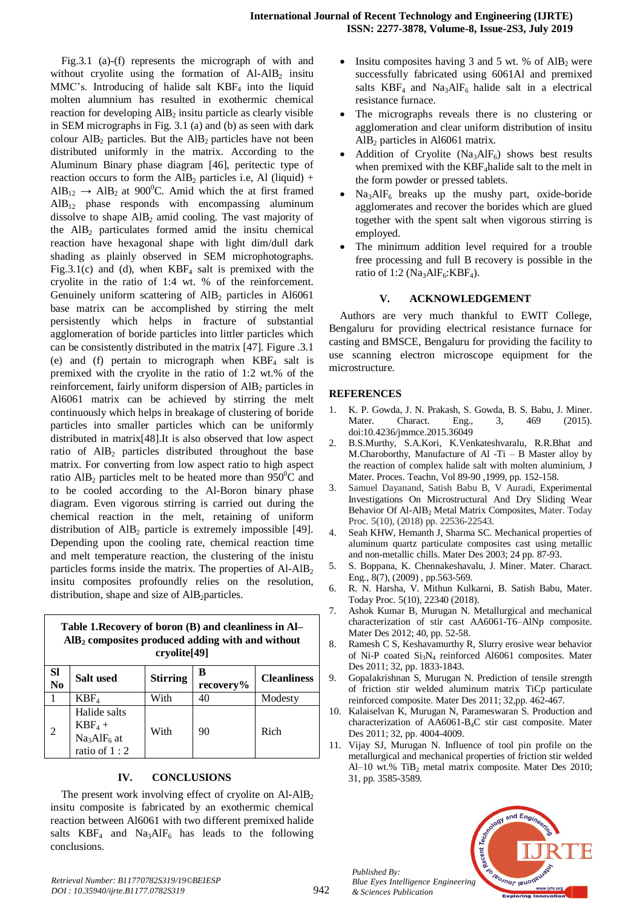Fig.3.1 (a)-(f) represents the micrograph of with and without cryolite using the formation of  $AI-AlB<sub>2</sub>$  insitu MMC's. Introducing of halide salt  $KBF<sub>4</sub>$  into the liquid molten alumnium has resulted in exothermic chemical reaction for developing AlB<sub>2</sub> insitu particle as clearly visible in SEM micrographs in Fig. 3.1 (a) and (b) as seen with dark colour  $\text{AlB}_2$  particles. But the  $\text{AlB}_2$  particles have not been distributed uniformly in the matrix. According to the Aluminum Binary phase diagram [46], peritectic type of reaction occurs to form the AlB<sub>2</sub> particles i.e, Al (liquid) +  $\text{AlB}_{12} \rightarrow \text{AlB}_2$  at 900<sup>°</sup>C. Amid which the at first framed  $AIB_{12}$  phase responds with encompassing aluminum dissolve to shape  $\text{AlB}_2$  amid cooling. The vast majority of the  $AlB<sub>2</sub>$  particulates formed amid the insitu chemical reaction have hexagonal shape with light dim/dull dark shading as plainly observed in SEM microphotographs. Fig.3.1(c) and (d), when  $KBF_4$  salt is premixed with the cryolite in the ratio of 1:4 wt. % of the reinforcement. Genuinely uniform scattering of  $\text{AlB}_2$  particles in Al6061 base matrix can be accomplished by stirring the melt persistently which helps in fracture of substantial agglomeration of boride particles into littler particles which can be consistently distributed in the matrix [47]. Figure .3.1 (e) and (f) pertain to micrograph when  $KBF<sub>4</sub>$  salt is premixed with the cryolite in the ratio of 1:2 wt.% of the reinforcement, fairly uniform dispersion of  $\text{AlB}_2$  particles in Al6061 matrix can be achieved by stirring the melt continuously which helps in breakage of clustering of boride particles into smaller particles which can be uniformly distributed in matrix[48].It is also observed that low aspect ratio of  $AIB<sub>2</sub>$  particles distributed throughout the base matrix. For converting from low aspect ratio to high aspect ratio AlB<sub>2</sub> particles melt to be heated more than 950<sup>°</sup>C and to be cooled according to the Al-Boron binary phase diagram. Even vigorous stirring is carried out during the chemical reaction in the melt, retaining of uniform distribution of  $\text{AlB}_2$  particle is extremely impossible [49]. Depending upon the cooling rate, chemical reaction time and melt temperature reaction, the clustering of the inistu particles forms inside the matrix. The properties of  $AI-AlB<sub>2</sub>$ insitu composites profoundly relies on the resolution, distribution, shape and size of AlB<sub>2</sub>particles.

| Table 1. Recovery of boron (B) and cleanliness in Al-<br>$\rm{AlB_2}$ composites produced adding with and without<br>cryolite <sup>[49]</sup> |                                                                                    |                                   |    |                    |  |  |
|-----------------------------------------------------------------------------------------------------------------------------------------------|------------------------------------------------------------------------------------|-----------------------------------|----|--------------------|--|--|
| <b>SI</b><br>N <sub>0</sub>                                                                                                                   | Salt used                                                                          | в<br><b>Stirring</b><br>recovery% |    | <b>Cleanliness</b> |  |  |
|                                                                                                                                               | KBF <sub>4</sub>                                                                   | With                              | 40 | Modesty            |  |  |
| 2                                                                                                                                             | Halide salts<br>$KBF_4 +$<br>Na <sub>3</sub> AlF <sub>6</sub> at<br>ratio of $1:2$ | With                              | 90 | Rich               |  |  |

## **IV. CONCLUSIONS**

The present work involving effect of cryolite on  $AI-AlB<sub>2</sub>$ insitu composite is fabricated by an exothermic chemical reaction between Al6061 with two different premixed halide salts  $KBF_4$  and  $Na_3AlF_6$  has leads to the following conclusions.

- Insitu composites having 3 and 5 wt. % of  $\text{AlB}_2$  were successfully fabricated using 6061Al and premixed salts  $KBF_4$  and  $Na_3AlF_6$  halide salt in a electrical resistance furnace.
- The micrographs reveals there is no clustering or agglomeration and clear uniform distribution of insitu AlB<sup>2</sup> particles in Al6061 matrix.
- Addition of Cryolite  $(Na_3AlF_6)$  shows best results when premixed with the KBF<sub>4</sub>halide salt to the melt in the form powder or pressed tablets.
- Na3AlF<sup>6</sup> breaks up the mushy part, oxide-boride agglomerates and recover the borides which are glued together with the spent salt when vigorous stirring is employed.
- The minimum addition level required for a trouble free processing and full B recovery is possible in the ratio of 1:2 ( $Na<sub>3</sub>AIF<sub>6</sub>:KBF<sub>4</sub>$ ).

# **V. ACKNOWLEDGEMENT**

Authors are very much thankful to EWIT College, Bengaluru for providing electrical resistance furnace for casting and BMSCE, Bengaluru for providing the facility to use scanning electron microscope equipment for the microstructure.

## **REFERENCES**

- 1. K. P. Gowda, J. N. Prakash, S. Gowda, B. S. Babu, J. Miner. Mater. Charact. Eng., 3, 469 (2015). doi:10.4236/jmmce.2015.36049
- 2. B.S.Murthy, S.A.Kori, K.Venkateshvaralu, R.R.Bhat and M.Charoborthy, Manufacture of Al -Ti – B Master alloy by the reaction of complex halide salt with molten aluminium, J Mater. Proces. Teachn, Vol 89-90 ,1999, pp. 152-158.
- 3. Samuel Dayanand, Satish Babu B, V Auradi, Experimental Investigations On Microstructural And Dry Sliding Wear Behavior Of Al-AlB<sub>2</sub> Metal Matrix Composites, Mater. Today Proc. 5(10), (2018) pp. 22536-22543.
- 4. Seah KHW, Hemanth J, Sharma SC. Mechanical properties of aluminum quartz particulate composites cast using metallic and non-metallic chills. Mater Des 2003; 24 pp. 87-93.
- 5. S. Boppana, K. Chennakeshavalu, J. Miner. Mater. Charact. Eng., 8(7), (2009) , pp.563-569.
- 6. R. N. Harsha, V. Mithun Kulkarni, B. Satish Babu, Mater. Today Proc. 5(10), 22340 (2018).
- 7. Ashok Kumar B, Murugan N. Metallurgical and mechanical characterization of stir cast AA6061-T6–AlNp composite. Mater Des 2012; 40, pp. 52-58.
- 8. Ramesh C S, Keshavamurthy R, Slurry erosive wear behavior of Ni-P coated  $Si<sub>3</sub>N<sub>4</sub>$  reinforced Al6061 composites. Mater Des 2011; 32, pp. 1833-1843.
- 9. Gopalakrishnan S, Murugan N. Prediction of tensile strength of friction stir welded aluminum matrix TiCp particulate reinforced composite. Mater Des 2011; 32,pp. 462-467.
- 10. Kalaiselvan K, Murugan N, Parameswaran S. Production and characterization of AA6061-B4C stir cast composite. Mater Des 2011; 32, pp. 4004-4009.
- 11. Vijay SJ, Murugan N. Influence of tool pin profile on the metallurgical and mechanical properties of friction stir welded Al–10 wt.% Ti $B_2$  metal matrix composite. Mater Des 2010; 31, pp. 3585-3589.



*Published By:*

*& Sciences Publication*